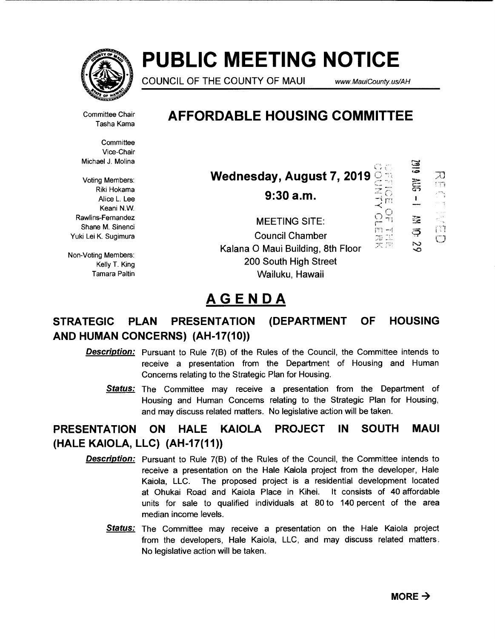

# **PUBLIC MEETING NOTICE**

COUNCIL OF THE COUNTY OF MAUI www.MauiCounty.us/AH

6102

 $\frac{1}{\sqrt{2}}$ 

≋

Ş

 $\frac{1}{2}$ 

J) t ifi

ញ

Committee Chair Tasha Kama **AFFORDABLE HOUSING COMMITTEE** 

**Committee** Vice-Chair Michael J. Molina

Voting Members: Riki Hokama Alice L. Lee Keani N.W. Rawlins-Fernandez Shane M. Sinenci Yuki Lei K. Sugimura

Non-Voting Members: Kelly T. King Tamara Paltin

| <b>Wednesday, August 7, 2019</b> |                                  |  |
|----------------------------------|----------------------------------|--|
| 9:30a.m.                         | $\mathbb{Z}_{\overline{\Omega}}$ |  |

MEETING SITE: Council Chamber N. – Alternative Stript.<br>Nalana O Maui Building, 8th Floor 200 South High Street Wailuku, Hawaii

# **AGENDA**

# STRATEGIC PLAN PRESENTATION (DEPARTMENT OF HOUSING AND HUMAN CONCERNS) (AH-17(10))

- **Description:** Pursuant to Rule 7(B) of the Rules of the Council, the Committee intends to receive a presentation from the Department of Housing and Human Concerns relating to the Strategic Plan for Housing.
	- **Status:** The Committee may receive a presentation from the Department of Housing and Human Concerns relating to the Strategic Plan for Housing, and may discuss related matters. No legislative action will be taken.

# **PRESENTATION ON HALE KAIOLA PROJECT IN SOUTH MAUI (HALE KAIOLA, LLC) (AH-17(11))**

- **Description:** Pursuant to Rule 7(B) of the Rules of the Council, the Committee intends to receive a presentation on the Hale Kaiola project from the developer, Hale Kaiola, LLC. The proposed project is a residential development located at Ohukai Road and Kaiola Place in Kihei. It consists of 40 affordable units for sale to qualified individuals at 80 to 140 percent of the area median income levels.
	- Status: The Committee may receive a presentation on the Hale Kaiola project from the developers, Hale Kaiola, LLC, and may discuss related matters. No legislative action will be taken.